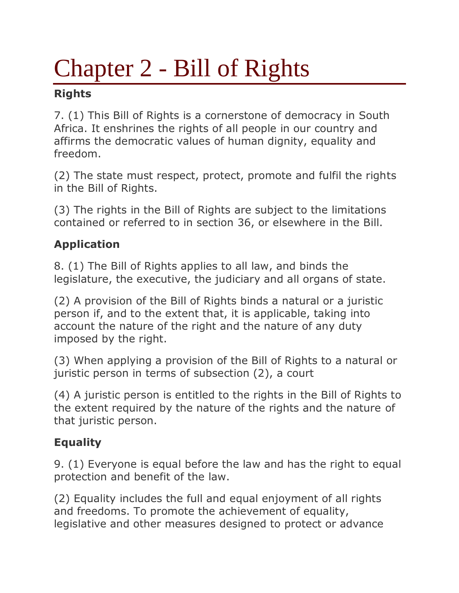# Chapter 2 - Bill of Rights

## **Rights**

7. (1) This Bill of Rights is a cornerstone of democracy in South Africa. It enshrines the rights of all people in our country and affirms the democratic values of human dignity, equality and freedom.

(2) The state must respect, protect, promote and fulfil the rights in the Bill of Rights.

(3) The rights in the Bill of Rights are subject to the limitations contained or referred to in section 36, or elsewhere in the Bill.

# **Application**

8. (1) The Bill of Rights applies to all law, and binds the legislature, the executive, the judiciary and all organs of state.

(2) A provision of the Bill of Rights binds a natural or a juristic person if, and to the extent that, it is applicable, taking into account the nature of the right and the nature of any duty imposed by the right.

(3) When applying a provision of the Bill of Rights to a natural or juristic person in terms of subsection (2), a court

(4) A juristic person is entitled to the rights in the Bill of Rights to the extent required by the nature of the rights and the nature of that juristic person.

# **Equality**

9. (1) Everyone is equal before the law and has the right to equal protection and benefit of the law.

(2) Equality includes the full and equal enjoyment of all rights and freedoms. To promote the achievement of equality, legislative and other measures designed to protect or advance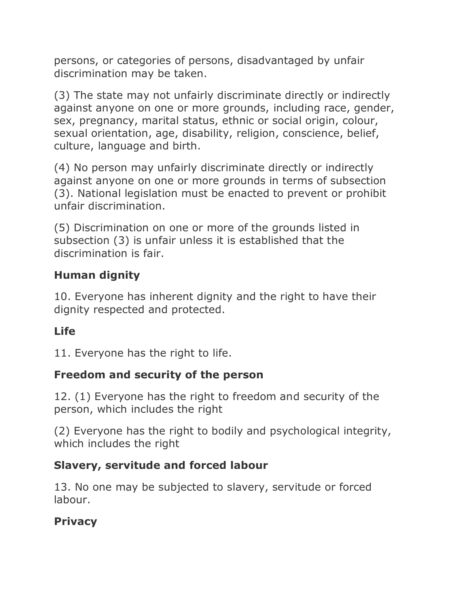persons, or categories of persons, disadvantaged by unfair discrimination may be taken.

(3) The state may not unfairly discriminate directly or indirectly against anyone on one or more grounds, including race, gender, sex, pregnancy, marital status, ethnic or social origin, colour, sexual orientation, age, disability, religion, conscience, belief, culture, language and birth.

(4) No person may unfairly discriminate directly or indirectly against anyone on one or more grounds in terms of subsection (3). National legislation must be enacted to prevent or prohibit unfair discrimination.

(5) Discrimination on one or more of the grounds listed in subsection (3) is unfair unless it is established that the discrimination is fair.

## **Human dignity**

10. Everyone has inherent dignity and the right to have their dignity respected and protected.

## **Life**

11. Everyone has the right to life.

## **Freedom and security of the person**

12. (1) Everyone has the right to freedom and security of the person, which includes the right

(2) Everyone has the right to bodily and psychological integrity, which includes the right

#### **Slavery, servitude and forced labour**

13. No one may be subjected to slavery, servitude or forced labour.

## **Privacy**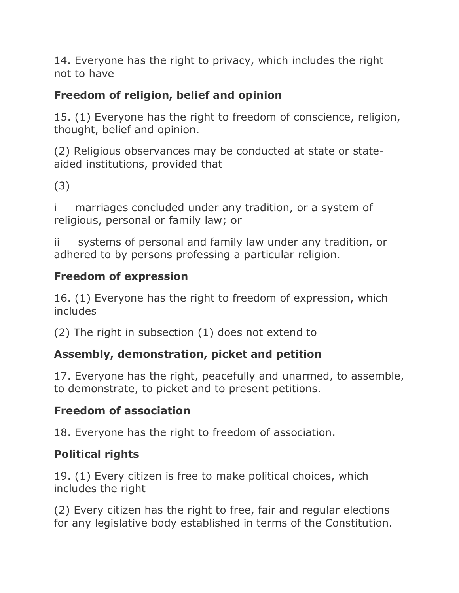14. Everyone has the right to privacy, which includes the right not to have

# **Freedom of religion, belief and opinion**

15. (1) Everyone has the right to freedom of conscience, religion, thought, belief and opinion.

(2) Religious observances may be conducted at state or stateaided institutions, provided that

(3)

marriages concluded under any tradition, or a system of religious, personal or family law; or

ii systems of personal and family law under any tradition, or adhered to by persons professing a particular religion.

## **Freedom of expression**

16. (1) Everyone has the right to freedom of expression, which includes

(2) The right in subsection (1) does not extend to

# **Assembly, demonstration, picket and petition**

17. Everyone has the right, peacefully and unarmed, to assemble, to demonstrate, to picket and to present petitions.

# **Freedom of association**

18. Everyone has the right to freedom of association.

# **Political rights**

19. (1) Every citizen is free to make political choices, which includes the right

(2) Every citizen has the right to free, fair and regular elections for any legislative body established in terms of the Constitution.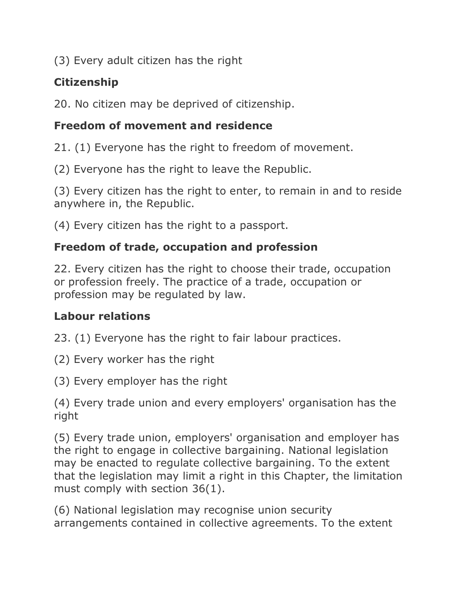(3) Every adult citizen has the right

# **Citizenship**

20. No citizen may be deprived of citizenship.

# **Freedom of movement and residence**

21. (1) Everyone has the right to freedom of movement.

(2) Everyone has the right to leave the Republic.

(3) Every citizen has the right to enter, to remain in and to reside anywhere in, the Republic.

(4) Every citizen has the right to a passport.

# **Freedom of trade, occupation and profession**

22. Every citizen has the right to choose their trade, occupation or profession freely. The practice of a trade, occupation or profession may be regulated by law.

## **Labour relations**

23. (1) Everyone has the right to fair labour practices.

(2) Every worker has the right

(3) Every employer has the right

(4) Every trade union and every employers' organisation has the right

(5) Every trade union, employers' organisation and employer has the right to engage in collective bargaining. National legislation may be enacted to regulate collective bargaining. To the extent that the legislation may limit a right in this Chapter, the limitation must comply with section 36(1).

(6) National legislation may recognise union security arrangements contained in collective agreements. To the extent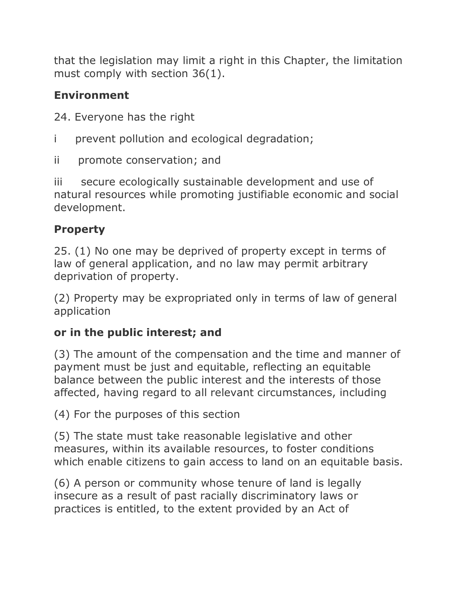that the legislation may limit a right in this Chapter, the limitation must comply with section 36(1).

# **Environment**

24. Everyone has the right

- i prevent pollution and ecological degradation;
- ii promote conservation; and

iii secure ecologically sustainable development and use of natural resources while promoting justifiable economic and social development.

# **Property**

25. (1) No one may be deprived of property except in terms of law of general application, and no law may permit arbitrary deprivation of property.

(2) Property may be expropriated only in terms of law of general application

# **or in the public interest; and**

(3) The amount of the compensation and the time and manner of payment must be just and equitable, reflecting an equitable balance between the public interest and the interests of those affected, having regard to all relevant circumstances, including

(4) For the purposes of this section

(5) The state must take reasonable legislative and other measures, within its available resources, to foster conditions which enable citizens to gain access to land on an equitable basis.

(6) A person or community whose tenure of land is legally insecure as a result of past racially discriminatory laws or practices is entitled, to the extent provided by an Act of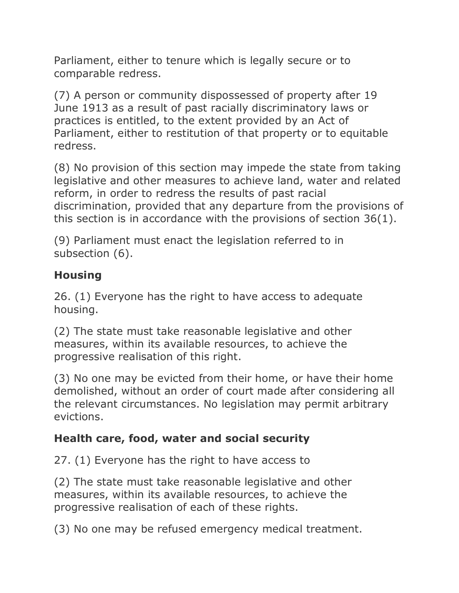Parliament, either to tenure which is legally secure or to comparable redress.

(7) A person or community dispossessed of property after 19 June 1913 as a result of past racially discriminatory laws or practices is entitled, to the extent provided by an Act of Parliament, either to restitution of that property or to equitable redress.

(8) No provision of this section may impede the state from taking legislative and other measures to achieve land, water and related reform, in order to redress the results of past racial discrimination, provided that any departure from the provisions of this section is in accordance with the provisions of section 36(1).

(9) Parliament must enact the legislation referred to in subsection (6).

## **Housing**

26. (1) Everyone has the right to have access to adequate housing.

(2) The state must take reasonable legislative and other measures, within its available resources, to achieve the progressive realisation of this right.

(3) No one may be evicted from their home, or have their home demolished, without an order of court made after considering all the relevant circumstances. No legislation may permit arbitrary evictions.

## **Health care, food, water and social security**

27. (1) Everyone has the right to have access to

(2) The state must take reasonable legislative and other measures, within its available resources, to achieve the progressive realisation of each of these rights.

(3) No one may be refused emergency medical treatment.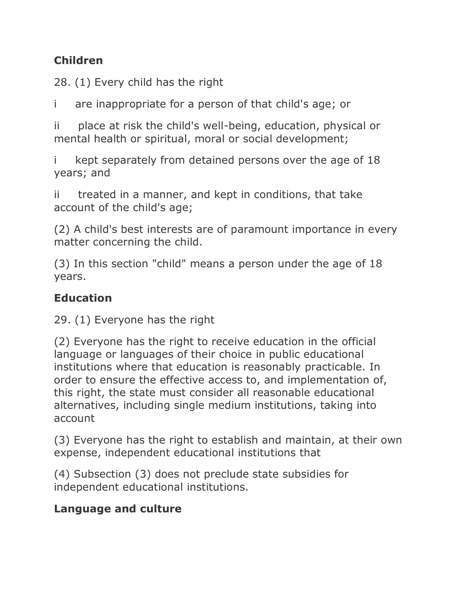# **Children**

28. (1) Every child has the right

i are inappropriate for a person of that child's age; or

ii place at risk the child's well-being, education, physical or mental health or spiritual, moral or social development;

kept separately from detained persons over the age of 18 years; and

ii treated in a manner, and kept in conditions, that take account of the child's age;

(2) A child's best interests are of paramount importance in every matter concerning the child.

(3) In this section "child" means a person under the age of 18 years.

## **Education**

29. (1) Everyone has the right

(2) Everyone has the right to receive education in the official language or languages of their choice in public educational institutions where that education is reasonably practicable. In order to ensure the effective access to, and implementation of, this right, the state must consider all reasonable educational alternatives, including single medium institutions, taking into account

(3) Everyone has the right to establish and maintain, at their own expense, independent educational institutions that

(4) Subsection (3) does not preclude state subsidies for independent educational institutions.

## **Language and culture**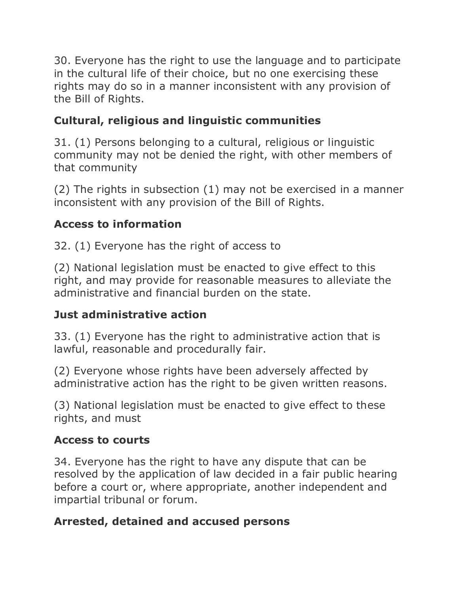30. Everyone has the right to use the language and to participate in the cultural life of their choice, but no one exercising these rights may do so in a manner inconsistent with any provision of the Bill of Rights.

# **Cultural, religious and linguistic communities**

31. (1) Persons belonging to a cultural, religious or linguistic community may not be denied the right, with other members of that community

(2) The rights in subsection (1) may not be exercised in a manner inconsistent with any provision of the Bill of Rights.

# **Access to information**

32. (1) Everyone has the right of access to

(2) National legislation must be enacted to give effect to this right, and may provide for reasonable measures to alleviate the administrative and financial burden on the state.

# **Just administrative action**

33. (1) Everyone has the right to administrative action that is lawful, reasonable and procedurally fair.

(2) Everyone whose rights have been adversely affected by administrative action has the right to be given written reasons.

(3) National legislation must be enacted to give effect to these rights, and must

# **Access to courts**

34. Everyone has the right to have any dispute that can be resolved by the application of law decided in a fair public hearing before a court or, where appropriate, another independent and impartial tribunal or forum.

# **Arrested, detained and accused persons**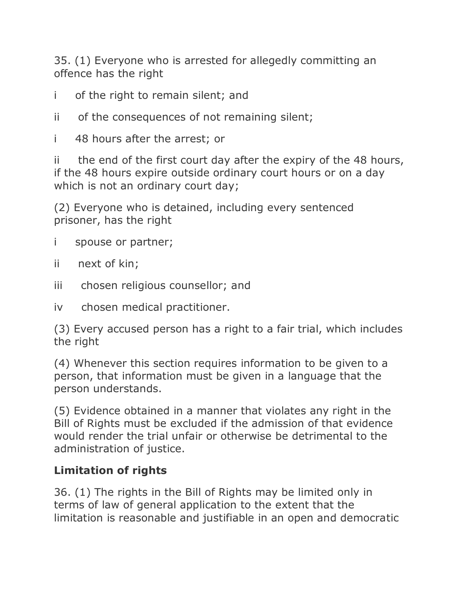35. (1) Everyone who is arrested for allegedly committing an offence has the right

- i of the right to remain silent; and
- ii of the consequences of not remaining silent;
- i 48 hours after the arrest; or

ii the end of the first court day after the expiry of the 48 hours, if the 48 hours expire outside ordinary court hours or on a day which is not an ordinary court day;

(2) Everyone who is detained, including every sentenced prisoner, has the right

- i spouse or partner;
- ii next of kin;
- iii chosen religious counsellor; and
- iv chosen medical practitioner.

(3) Every accused person has a right to a fair trial, which includes the right

(4) Whenever this section requires information to be given to a person, that information must be given in a language that the person understands.

(5) Evidence obtained in a manner that violates any right in the Bill of Rights must be excluded if the admission of that evidence would render the trial unfair or otherwise be detrimental to the administration of justice.

## **Limitation of rights**

36. (1) The rights in the Bill of Rights may be limited only in terms of law of general application to the extent that the limitation is reasonable and justifiable in an open and democratic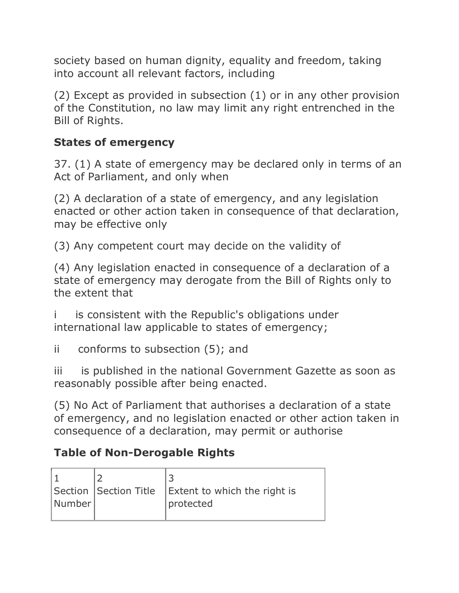society based on human dignity, equality and freedom, taking into account all relevant factors, including

(2) Except as provided in subsection (1) or in any other provision of the Constitution, no law may limit any right entrenched in the Bill of Rights.

## **States of emergency**

37. (1) A state of emergency may be declared only in terms of an Act of Parliament, and only when

(2) A declaration of a state of emergency, and any legislation enacted or other action taken in consequence of that declaration, may be effective only

(3) Any competent court may decide on the validity of

(4) Any legislation enacted in consequence of a declaration of a state of emergency may derogate from the Bill of Rights only to the extent that

is consistent with the Republic's obligations under international law applicable to states of emergency;

ii conforms to subsection (5); and

iii is published in the national Government Gazette as soon as reasonably possible after being enacted.

(5) No Act of Parliament that authorises a declaration of a state of emergency, and no legislation enacted or other action taken in consequence of a declaration, may permit or authorise

# **Table of Non-Derogable Rights**

| Number | Section Section Title   Extent to which the right is<br>protected |
|--------|-------------------------------------------------------------------|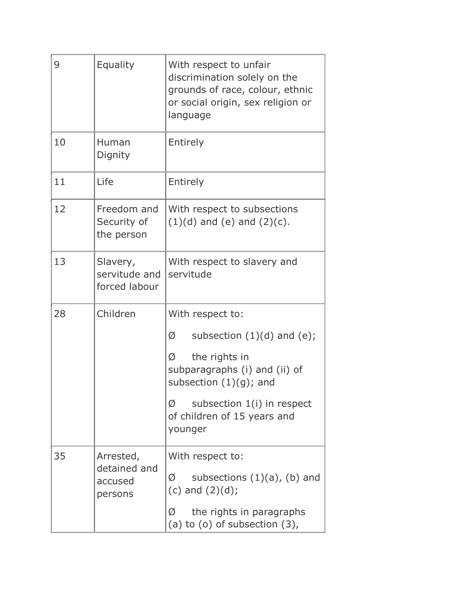| 9  | Equality                                        | With respect to unfair<br>discrimination solely on the<br>grounds of race, colour, ethnic<br>or social origin, sex religion or<br>language                                                                                |
|----|-------------------------------------------------|---------------------------------------------------------------------------------------------------------------------------------------------------------------------------------------------------------------------------|
| 10 | Human<br>Dignity                                | Entirely                                                                                                                                                                                                                  |
| 11 | Life                                            | Entirely                                                                                                                                                                                                                  |
| 12 | Freedom and<br>Security of<br>the person        | With respect to subsections<br>$(1)(d)$ and $(e)$ and $(2)(c)$ .                                                                                                                                                          |
| 13 | Slavery,<br>servitude and<br>forced labour      | With respect to slavery and<br>servitude                                                                                                                                                                                  |
| 28 | Children                                        | With respect to:<br>subsection $(1)(d)$ and $(e)$ ;<br>Ø<br>the rights in<br>Ø<br>subparagraphs (i) and (ii) of<br>subsection $(1)(g)$ ; and<br>subsection 1(i) in respect<br>Ø<br>of children of 15 years and<br>younger |
| 35 | Arrested,<br>detained and<br>accused<br>persons | With respect to:<br>subsections $(1)(a)$ , $(b)$ and<br>Ø<br>(c) and $(2)(d)$ ;<br>the rights in paragraphs<br>Ø<br>(a) to $(o)$ of subsection $(3)$ ,                                                                    |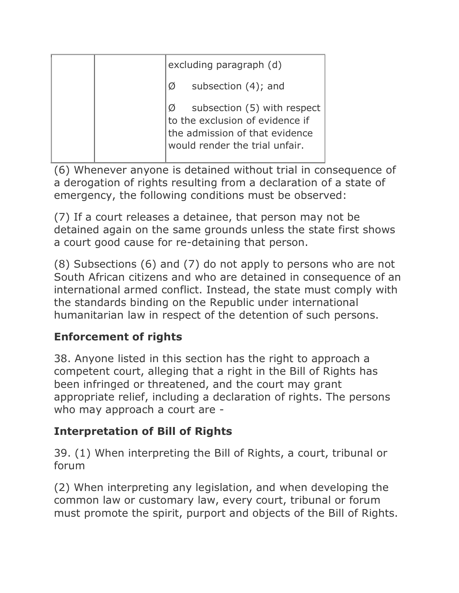| excluding paragraph (d)                                                                                                            |
|------------------------------------------------------------------------------------------------------------------------------------|
| subsection $(4)$ ; and<br>Ø                                                                                                        |
| subsection (5) with respect<br>to the exclusion of evidence if<br>the admission of that evidence<br>would render the trial unfair. |

(6) Whenever anyone is detained without trial in consequence of a derogation of rights resulting from a declaration of a state of emergency, the following conditions must be observed:

(7) If a court releases a detainee, that person may not be detained again on the same grounds unless the state first shows a court good cause for re-detaining that person.

(8) Subsections (6) and (7) do not apply to persons who are not South African citizens and who are detained in consequence of an international armed conflict. Instead, the state must comply with the standards binding on the Republic under international humanitarian law in respect of the detention of such persons.

# **Enforcement of rights**

38. Anyone listed in this section has the right to approach a competent court, alleging that a right in the Bill of Rights has been infringed or threatened, and the court may grant appropriate relief, including a declaration of rights. The persons who may approach a court are -

# **Interpretation of Bill of Rights**

39. (1) When interpreting the Bill of Rights, a court, tribunal or forum

(2) When interpreting any legislation, and when developing the common law or customary law, every court, tribunal or forum must promote the spirit, purport and objects of the Bill of Rights.